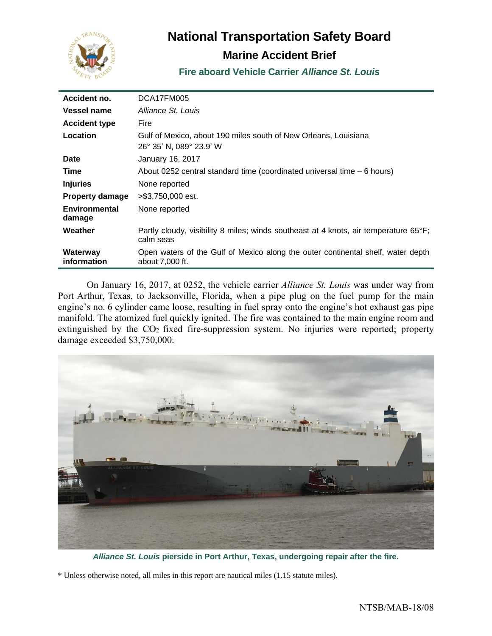

# **National Transportation Safety Board**

# **Marine Accident Brief**

**Fire aboard Vehicle Carrier** *Alliance St. Louis*

| Accident no.            | DCA17FM005                                                                                          |
|-------------------------|-----------------------------------------------------------------------------------------------------|
| Vessel name             | Alliance St. Louis                                                                                  |
| <b>Accident type</b>    | Fire                                                                                                |
| Location                | Gulf of Mexico, about 190 miles south of New Orleans, Louisiana<br>26° 35' N, 089° 23.9' W          |
| Date                    | January 16, 2017                                                                                    |
| Time                    | About 0252 central standard time (coordinated universal time – 6 hours)                             |
| <b>Injuries</b>         | None reported                                                                                       |
| <b>Property damage</b>  | >\$3.750,000 est.                                                                                   |
| Environmental<br>damage | None reported                                                                                       |
| Weather                 | Partly cloudy, visibility 8 miles; winds southeast at 4 knots, air temperature 65°F;<br>calm seas   |
| Waterway<br>information | Open waters of the Gulf of Mexico along the outer continental shelf, water depth<br>about 7,000 ft. |

On January 16, 2017, at 0252, the vehicle carrier *Alliance St. Louis* was under way from Port Arthur, Texas, to Jacksonville, Florida, when a pipe plug on the fuel pump for the main engine's no. 6 cylinder came loose, resulting in fuel spray onto the engine's hot exhaust gas pipe manifold. The atomized fuel quickly ignited. The fire was contained to the main engine room and extinguished by the CO<sub>2</sub> fixed fire-suppression system. No injuries were reported; property damage exceeded \$3,750,000.



*Alliance St. Louis* **pierside in Port Arthur, Texas, undergoing repair after the fire.**

\* Unless otherwise noted, all miles in this report are nautical miles (1.15 statute miles).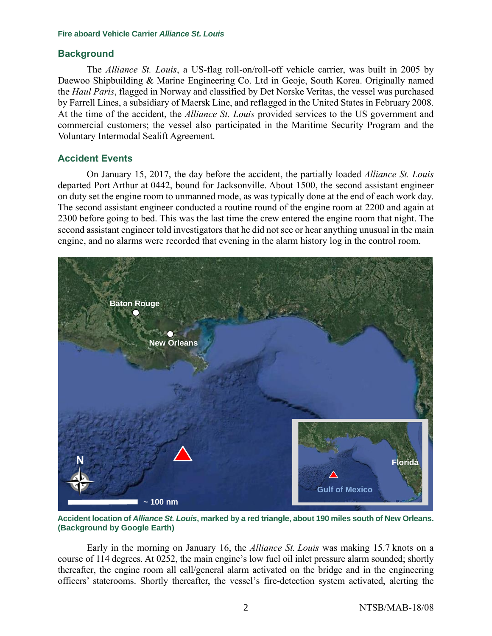# **Background**

The *Alliance St. Louis*, a US-flag roll-on/roll-off vehicle carrier, was built in 2005 by Daewoo Shipbuilding & Marine Engineering Co. Ltd in Geoje, South Korea. Originally named the *Haul Paris*, flagged in Norway and classified by Det Norske Veritas, the vessel was purchased by Farrell Lines, a subsidiary of Maersk Line, and reflagged in the United States in February 2008. At the time of the accident, the *Alliance St. Louis* provided services to the US government and commercial customers; the vessel also participated in the Maritime Security Program and the Voluntary Intermodal Sealift Agreement.

# **Accident Events**

On January 15, 2017, the day before the accident, the partially loaded *Alliance St. Louis* departed Port Arthur at 0442, bound for Jacksonville. About 1500, the second assistant engineer on duty set the engine room to unmanned mode, as was typically done at the end of each work day. The second assistant engineer conducted a routine round of the engine room at 2200 and again at 2300 before going to bed. This was the last time the crew entered the engine room that night. The second assistant engineer told investigators that he did not see or hear anything unusual in the main engine, and no alarms were recorded that evening in the alarm history log in the control room.



**Accident location of** *Alliance St. Louis***, marked by a red triangle, about 190 miles south of New Orleans. (Background by Google Earth)** 

Early in the morning on January 16, the *Alliance St. Louis* was making 15.7 knots on a course of 114 degrees. At 0252, the main engine's low fuel oil inlet pressure alarm sounded; shortly thereafter, the engine room all call/general alarm activated on the bridge and in the engineering officers' staterooms. Shortly thereafter, the vessel's fire-detection system activated, alerting the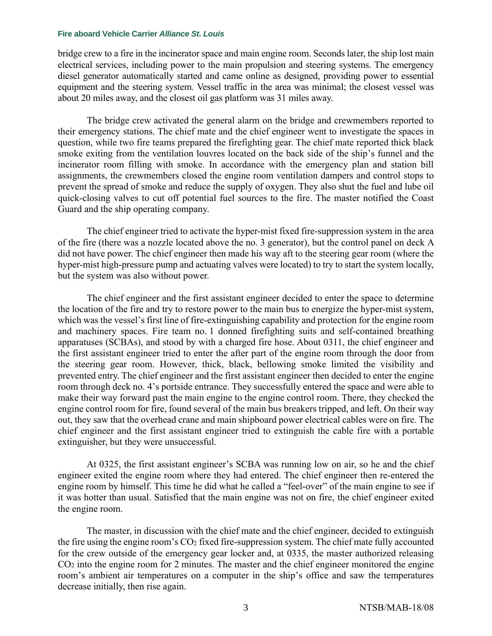bridge crew to a fire in the incinerator space and main engine room. Seconds later, the ship lost main electrical services, including power to the main propulsion and steering systems. The emergency diesel generator automatically started and came online as designed, providing power to essential equipment and the steering system. Vessel traffic in the area was minimal; the closest vessel was about 20 miles away, and the closest oil gas platform was 31 miles away.

The bridge crew activated the general alarm on the bridge and crewmembers reported to their emergency stations. The chief mate and the chief engineer went to investigate the spaces in question, while two fire teams prepared the firefighting gear. The chief mate reported thick black smoke exiting from the ventilation louvres located on the back side of the ship's funnel and the incinerator room filling with smoke. In accordance with the emergency plan and station bill assignments, the crewmembers closed the engine room ventilation dampers and control stops to prevent the spread of smoke and reduce the supply of oxygen. They also shut the fuel and lube oil quick-closing valves to cut off potential fuel sources to the fire. The master notified the Coast Guard and the ship operating company.

The chief engineer tried to activate the hyper-mist fixed fire-suppression system in the area of the fire (there was a nozzle located above the no. 3 generator), but the control panel on deck A did not have power. The chief engineer then made his way aft to the steering gear room (where the hyper-mist high-pressure pump and actuating valves were located) to try to start the system locally, but the system was also without power.

The chief engineer and the first assistant engineer decided to enter the space to determine the location of the fire and try to restore power to the main bus to energize the hyper-mist system, which was the vessel's first line of fire-extinguishing capability and protection for the engine room and machinery spaces. Fire team no. 1 donned firefighting suits and self-contained breathing apparatuses (SCBAs), and stood by with a charged fire hose. About 0311, the chief engineer and the first assistant engineer tried to enter the after part of the engine room through the door from the steering gear room. However, thick, black, bellowing smoke limited the visibility and prevented entry. The chief engineer and the first assistant engineer then decided to enter the engine room through deck no. 4's portside entrance. They successfully entered the space and were able to make their way forward past the main engine to the engine control room. There, they checked the engine control room for fire, found several of the main bus breakers tripped, and left. On their way out, they saw that the overhead crane and main shipboard power electrical cables were on fire. The chief engineer and the first assistant engineer tried to extinguish the cable fire with a portable extinguisher, but they were unsuccessful.

At 0325, the first assistant engineer's SCBA was running low on air, so he and the chief engineer exited the engine room where they had entered. The chief engineer then re-entered the engine room by himself. This time he did what he called a "feel-over" of the main engine to see if it was hotter than usual. Satisfied that the main engine was not on fire, the chief engineer exited the engine room.

The master, in discussion with the chief mate and the chief engineer, decided to extinguish the fire using the engine room's CO<sup>2</sup> fixed fire-suppression system. The chief mate fully accounted for the crew outside of the emergency gear locker and, at 0335, the master authorized releasing CO<sup>2</sup> into the engine room for 2 minutes. The master and the chief engineer monitored the engine room's ambient air temperatures on a computer in the ship's office and saw the temperatures decrease initially, then rise again.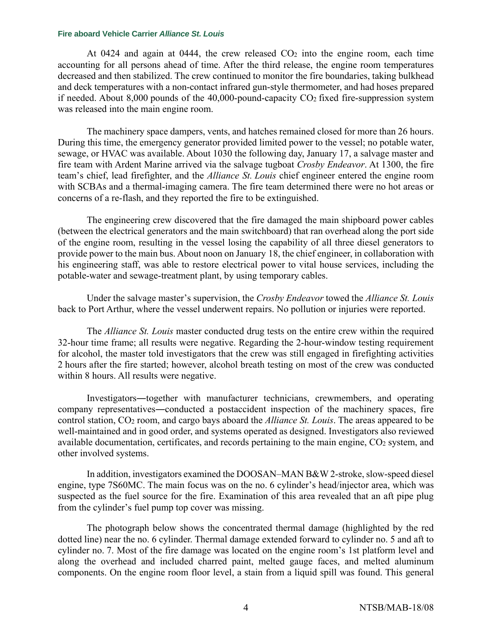At 0424 and again at 0444, the crew released  $CO<sub>2</sub>$  into the engine room, each time accounting for all persons ahead of time. After the third release, the engine room temperatures decreased and then stabilized. The crew continued to monitor the fire boundaries, taking bulkhead and deck temperatures with a non-contact infrared gun-style thermometer, and had hoses prepared if needed. About 8,000 pounds of the 40,000-pound-capacity  $CO<sub>2</sub>$  fixed fire-suppression system was released into the main engine room.

The machinery space dampers, vents, and hatches remained closed for more than 26 hours. During this time, the emergency generator provided limited power to the vessel; no potable water, sewage, or HVAC was available. About 1030 the following day, January 17, a salvage master and fire team with Ardent Marine arrived via the salvage tugboat *Crosby Endeavor*. At 1300, the fire team's chief, lead firefighter, and the *Alliance St. Louis* chief engineer entered the engine room with SCBAs and a thermal-imaging camera. The fire team determined there were no hot areas or concerns of a re-flash, and they reported the fire to be extinguished.

The engineering crew discovered that the fire damaged the main shipboard power cables (between the electrical generators and the main switchboard) that ran overhead along the port side of the engine room, resulting in the vessel losing the capability of all three diesel generators to provide power to the main bus. About noon on January 18, the chief engineer, in collaboration with his engineering staff, was able to restore electrical power to vital house services, including the potable-water and sewage-treatment plant, by using temporary cables.

Under the salvage master's supervision, the *Crosby Endeavor* towed the *Alliance St. Louis* back to Port Arthur, where the vessel underwent repairs. No pollution or injuries were reported.

The *Alliance St. Louis* master conducted drug tests on the entire crew within the required 32-hour time frame; all results were negative. Regarding the 2-hour-window testing requirement for alcohol, the master told investigators that the crew was still engaged in firefighting activities 2 hours after the fire started; however, alcohol breath testing on most of the crew was conducted within 8 hours. All results were negative.

Investigators―together with manufacturer technicians, crewmembers, and operating company representatives―conducted a postaccident inspection of the machinery spaces, fire control station, CO<sup>2</sup> room, and cargo bays aboard the *Alliance St. Louis*. The areas appeared to be well-maintained and in good order, and systems operated as designed. Investigators also reviewed available documentation, certificates, and records pertaining to the main engine, CO<sub>2</sub> system, and other involved systems.

In addition, investigators examined the DOOSAN–MAN B&W 2-stroke, slow-speed diesel engine, type 7S60MC. The main focus was on the no. 6 cylinder's head/injector area, which was suspected as the fuel source for the fire. Examination of this area revealed that an aft pipe plug from the cylinder's fuel pump top cover was missing.

The photograph below shows the concentrated thermal damage (highlighted by the red dotted line) near the no. 6 cylinder. Thermal damage extended forward to cylinder no. 5 and aft to cylinder no. 7. Most of the fire damage was located on the engine room's 1st platform level and along the overhead and included charred paint, melted gauge faces, and melted aluminum components. On the engine room floor level, a stain from a liquid spill was found. This general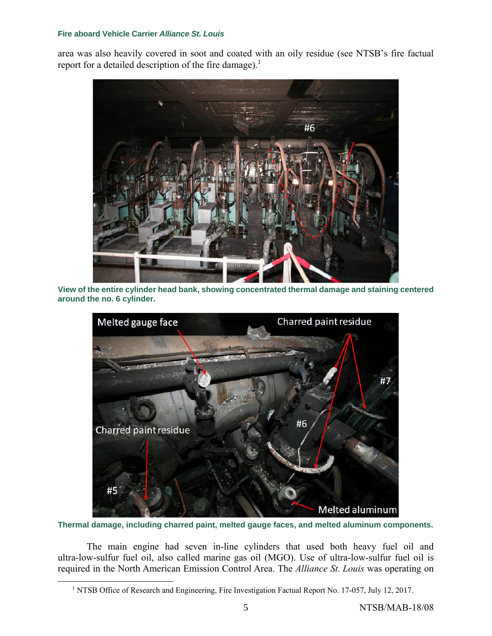area was also heavily covered in soot and coated with an oily residue (see NTSB's fire factual report for a detailed description of the fire damage).<sup>1</sup>



**View of the entire cylinder head bank, showing concentrated thermal damage and staining centered around the no. 6 cylinder.** 



**Thermal damage, including charred paint, melted gauge faces, and melted aluminum components.**

The main engine had seven in-line cylinders that used both heavy fuel oil and ultra-low-sulfur fuel oil, also called marine gas oil (MGO). Use of ultra-low-sulfur fuel oil is required in the North American Emission Control Area. The *Alliance St. Louis* was operating on

 $\overline{a}$ 

<sup>&</sup>lt;sup>1</sup> NTSB Office of Research and Engineering, Fire Investigation Factual Report No. 17-057, July 12, 2017.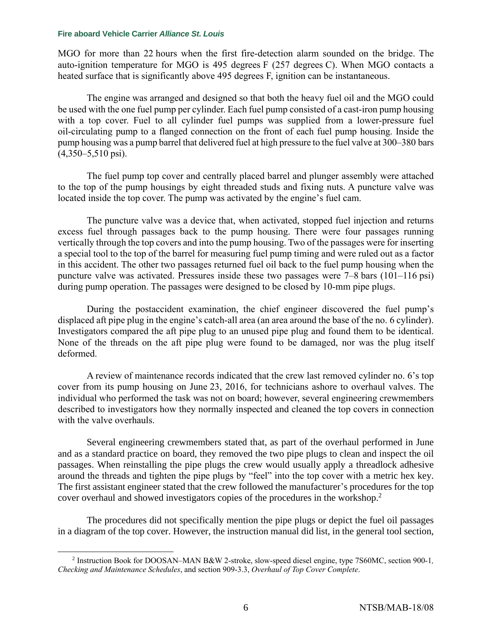MGO for more than 22 hours when the first fire-detection alarm sounded on the bridge. The auto-ignition temperature for MGO is 495 degrees F (257 degrees C). When MGO contacts a heated surface that is significantly above 495 degrees F, ignition can be instantaneous.

The engine was arranged and designed so that both the heavy fuel oil and the MGO could be used with the one fuel pump per cylinder. Each fuel pump consisted of a cast-iron pump housing with a top cover. Fuel to all cylinder fuel pumps was supplied from a lower-pressure fuel oil-circulating pump to a flanged connection on the front of each fuel pump housing. Inside the pump housing was a pump barrel that delivered fuel at high pressure to the fuel valve at 300–380 bars (4,350–5,510 psi).

The fuel pump top cover and centrally placed barrel and plunger assembly were attached to the top of the pump housings by eight threaded studs and fixing nuts. A puncture valve was located inside the top cover. The pump was activated by the engine's fuel cam.

The puncture valve was a device that, when activated, stopped fuel injection and returns excess fuel through passages back to the pump housing. There were four passages running vertically through the top covers and into the pump housing. Two of the passages were for inserting a special tool to the top of the barrel for measuring fuel pump timing and were ruled out as a factor in this accident. The other two passages returned fuel oil back to the fuel pump housing when the puncture valve was activated. Pressures inside these two passages were 7–8 bars (101–116 psi) during pump operation. The passages were designed to be closed by 10-mm pipe plugs.

During the postaccident examination, the chief engineer discovered the fuel pump's displaced aft pipe plug in the engine's catch-all area (an area around the base of the no. 6 cylinder). Investigators compared the aft pipe plug to an unused pipe plug and found them to be identical. None of the threads on the aft pipe plug were found to be damaged, nor was the plug itself deformed.

A review of maintenance records indicated that the crew last removed cylinder no. 6's top cover from its pump housing on June 23, 2016, for technicians ashore to overhaul valves. The individual who performed the task was not on board; however, several engineering crewmembers described to investigators how they normally inspected and cleaned the top covers in connection with the valve overhauls.

Several engineering crewmembers stated that, as part of the overhaul performed in June and as a standard practice on board, they removed the two pipe plugs to clean and inspect the oil passages. When reinstalling the pipe plugs the crew would usually apply a threadlock adhesive around the threads and tighten the pipe plugs by "feel" into the top cover with a metric hex key. The first assistant engineer stated that the crew followed the manufacturer's procedures for the top cover overhaul and showed investigators copies of the procedures in the workshop. 2

The procedures did not specifically mention the pipe plugs or depict the fuel oil passages in a diagram of the top cover. However, the instruction manual did list, in the general tool section,

 $\overline{a}$ 2 Instruction Book for DOOSAN–MAN B&W 2-stroke, slow-speed diesel engine, type 7S60MC, section 900-1*, Checking and Maintenance Schedules*, and section 909-3.3, *Overhaul of Top Cover Complete*.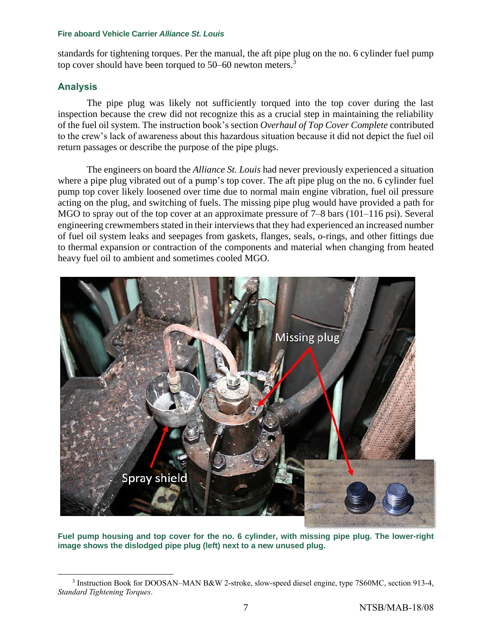standards for tightening torques. Per the manual, the aft pipe plug on the no. 6 cylinder fuel pump top cover should have been torqued to 50–60 newton meters.<sup>3</sup>

# **Analysis**

 $\overline{a}$ 

The pipe plug was likely not sufficiently torqued into the top cover during the last inspection because the crew did not recognize this as a crucial step in maintaining the reliability of the fuel oil system. The instruction book's section *Overhaul of Top Cover Complete* contributed to the crew's lack of awareness about this hazardous situation because it did not depict the fuel oil return passages or describe the purpose of the pipe plugs.

The engineers on board the *Alliance St. Louis* had never previously experienced a situation where a pipe plug vibrated out of a pump's top cover. The aft pipe plug on the no. 6 cylinder fuel pump top cover likely loosened over time due to normal main engine vibration, fuel oil pressure acting on the plug, and switching of fuels. The missing pipe plug would have provided a path for MGO to spray out of the top cover at an approximate pressure of  $7-8$  bars (101–116 psi). Several engineering crewmembers stated in their interviews that they had experienced an increased number of fuel oil system leaks and seepages from gaskets, flanges, seals, o-rings, and other fittings due to thermal expansion or contraction of the components and material when changing from heated heavy fuel oil to ambient and sometimes cooled MGO.



**Fuel pump housing and top cover for the no. 6 cylinder, with missing pipe plug. The lower-right image shows the dislodged pipe plug (left) next to a new unused plug.**

<sup>&</sup>lt;sup>3</sup> Instruction Book for DOOSAN–MAN B&W 2-stroke, slow-speed diesel engine, type 7S60MC, section 913-4, *Standard Tightening Torques*.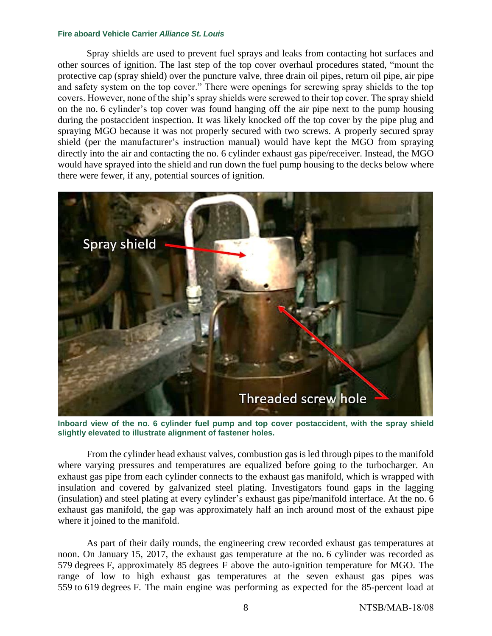Spray shields are used to prevent fuel sprays and leaks from contacting hot surfaces and other sources of ignition. The last step of the top cover overhaul procedures stated, "mount the protective cap (spray shield) over the puncture valve, three drain oil pipes, return oil pipe, air pipe and safety system on the top cover." There were openings for screwing spray shields to the top covers. However, none of the ship's spray shields were screwed to their top cover. The spray shield on the no. 6 cylinder's top cover was found hanging off the air pipe next to the pump housing during the postaccident inspection. It was likely knocked off the top cover by the pipe plug and spraying MGO because it was not properly secured with two screws. A properly secured spray shield (per the manufacturer's instruction manual) would have kept the MGO from spraying directly into the air and contacting the no. 6 cylinder exhaust gas pipe/receiver. Instead, the MGO would have sprayed into the shield and run down the fuel pump housing to the decks below where there were fewer, if any, potential sources of ignition.



**Inboard view of the no. 6 cylinder fuel pump and top cover postaccident, with the spray shield slightly elevated to illustrate alignment of fastener holes.** 

From the cylinder head exhaust valves, combustion gas is led through pipes to the manifold where varying pressures and temperatures are equalized before going to the turbocharger. An exhaust gas pipe from each cylinder connects to the exhaust gas manifold, which is wrapped with insulation and covered by galvanized steel plating. Investigators found gaps in the lagging (insulation) and steel plating at every cylinder's exhaust gas pipe/manifold interface. At the no. 6 exhaust gas manifold, the gap was approximately half an inch around most of the exhaust pipe where it joined to the manifold.

As part of their daily rounds, the engineering crew recorded exhaust gas temperatures at noon. On January 15, 2017, the exhaust gas temperature at the no. 6 cylinder was recorded as 579 degrees F, approximately 85 degrees F above the auto-ignition temperature for MGO. The range of low to high exhaust gas temperatures at the seven exhaust gas pipes was 559 to 619 degrees F. The main engine was performing as expected for the 85-percent load at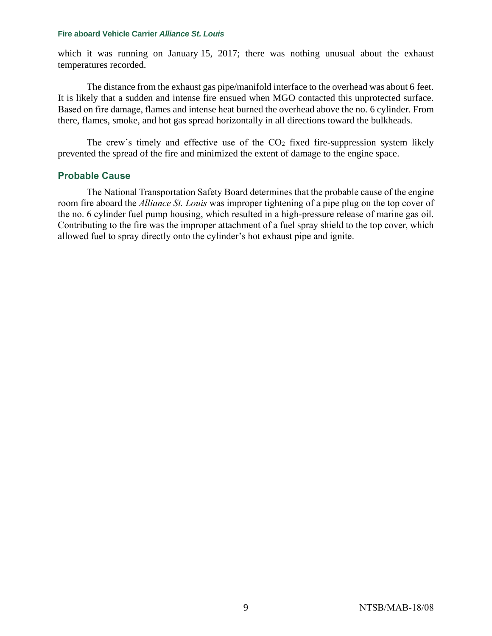which it was running on January 15, 2017; there was nothing unusual about the exhaust temperatures recorded.

The distance from the exhaust gas pipe/manifold interface to the overhead was about 6 feet. It is likely that a sudden and intense fire ensued when MGO contacted this unprotected surface. Based on fire damage, flames and intense heat burned the overhead above the no. 6 cylinder. From there, flames, smoke, and hot gas spread horizontally in all directions toward the bulkheads.

The crew's timely and effective use of the  $CO<sub>2</sub>$  fixed fire-suppression system likely prevented the spread of the fire and minimized the extent of damage to the engine space.

# **Probable Cause**

The National Transportation Safety Board determines that the probable cause of the engine room fire aboard the *Alliance St. Louis* was improper tightening of a pipe plug on the top cover of the no. 6 cylinder fuel pump housing, which resulted in a high-pressure release of marine gas oil. Contributing to the fire was the improper attachment of a fuel spray shield to the top cover, which allowed fuel to spray directly onto the cylinder's hot exhaust pipe and ignite.